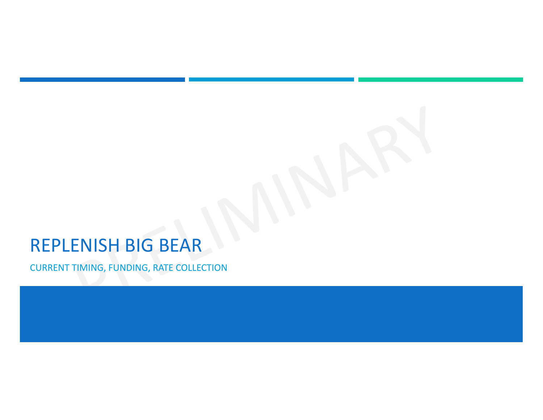# REPLENISH BIG BEAR

CURRENT TIMING, FUNDING, RATE COLLECTION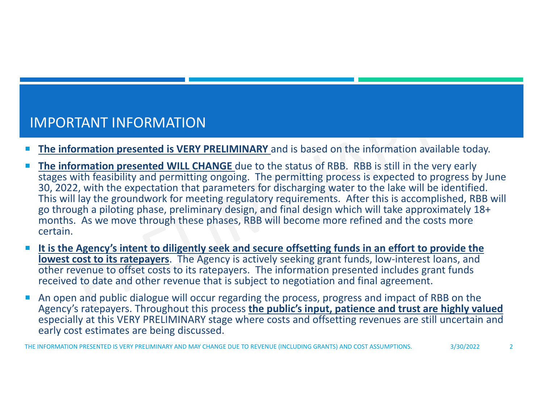# IMPORTANT INFORMATION

- П **The information presented is VERY PRELIMINARY** and is based on the information available today.
- П **The information presented WILL CHANGE** due to the status of RBB. RBB is still in the very early stages with feasibility and permitting ongoing. The permitting process is expected to progress by June 30, 2022, with the expectation that parameters for discharging water to the lake will be identified. This will lay the groundwork for meeting regulatory requirements. After this is accomplished, RBB will go through <sup>a</sup> piloting phase, preliminary design, and final design which will take approximately 18+ months. As we move through these phases, RBB will become more refined and the costs more certain.
- $\mathcal{L}_{\mathcal{A}}$ It is the Agency's intent to diligently seek and secure offsetting funds in an effort to provide the **lowest cost to its ratepayers**. The Agency is actively seeking grant funds, low‐interest loans, and other revenue to offset costs to its ratepayers. The information presented includes grant funds received to date and other revenue that is subject to negotiation and final agreement.
- П An open and public dialogue will occur regarding the process, progress and impact of RBB on the Agency's ratepayers. Throughout this process **the public's input, patience and trust are highly valued** especially at this VERY PRELIMINARY stage where costs and offsetting revenues are still uncertain and early cost estimates are being discussed.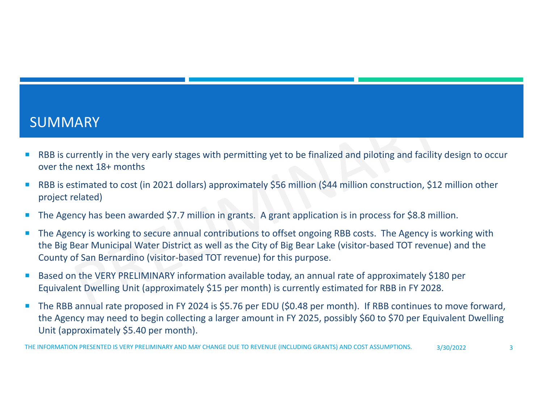#### SUMMARY

- $\mathcal{L}_{\mathcal{A}}$  RBB is currently in the very early stages with permitting yet to be finalized and piloting and facility design to occur over the next 18+ months
- $\mathcal{A}$  RBB is estimated to cost (in 2021 dollars) approximately \$56 million (\$44 million construction, \$12 million other project related)
- $\mathcal{L}_{\mathcal{A}}$ The Agency has been awarded \$7.7 million in grants. A grant application is in process for \$8.8 million.
- $\overline{\phantom{a}}$  The Agency is working to secure annual contributions to offset ongoing RBB costs. The Agency is working with the Big Bear Municipal Water District as well as the City of Big Bear Lake (visitor‐based TOT revenue) and the County of San Bernardino (visitor‐based TOT revenue) for this purpose.
- $\mathcal{A}$  Based on the VERY PRELIMINARY information available today, an annual rate of approximately \$180 per Equivalent Dwelling Unit (approximately \$15 per month) is currently estimated for RBB in FY 2028.
- $\overline{\phantom{a}}$  The RBB annual rate proposed in FY 2024 is \$5.76 per EDU (\$0.48 per month). If RBB continues to move forward, the Agency may need to begin collecting <sup>a</sup> larger amount in FY 2025, possibly \$60 to \$70 per Equivalent Dwelling Unit (approximately \$5.40 per month).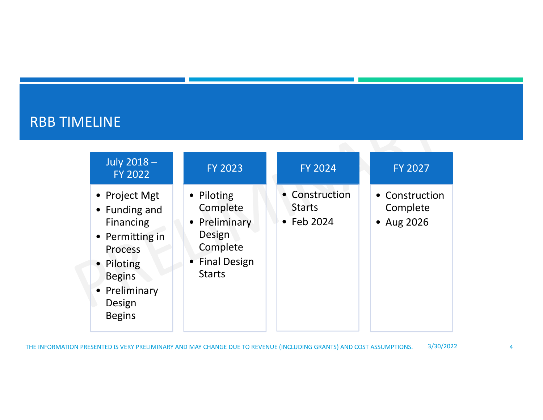# RBB TIMELINE

| July 2018-<br><b>FY 2022</b>                                                                                                                                | <b>FY 2023</b>                                                                                   | <b>FY 2024</b>                                        | <b>FY 2027</b>                           |
|-------------------------------------------------------------------------------------------------------------------------------------------------------------|--------------------------------------------------------------------------------------------------|-------------------------------------------------------|------------------------------------------|
| • Project Mgt<br>• Funding and<br>Financing<br>• Permitting in<br><b>Process</b><br>• Piloting<br><b>Begins</b><br>• Preliminary<br>Design<br><b>Begins</b> | • Piloting<br>Complete<br>• Preliminary<br>Design<br>Complete<br>• Final Design<br><b>Starts</b> | • Construction<br><b>Starts</b><br>$\bullet$ Feb 2024 | • Construction<br>Complete<br>• Aug 2026 |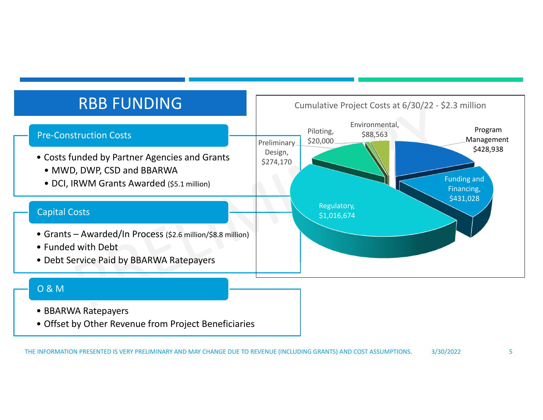

- BBARWA Ratepayers
- Offset by Other Revenue from Project Beneficiaries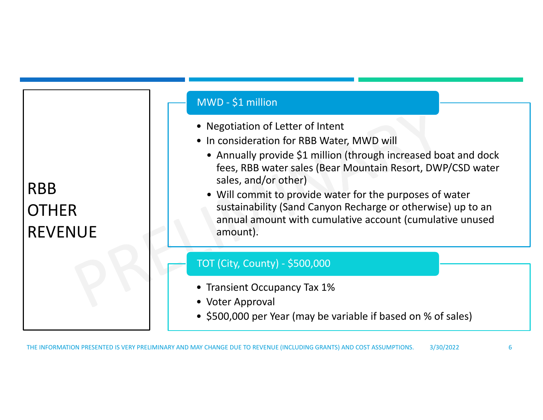RBB**OTHER** REVENUE

#### MWD ‐ \$1 million

- Negotiation of Letter of Intent
- In consideration for RBB Water, MWD will
	- Annually provide \$1 million (through increased boat and dock fees, RBB water sales (Bear Mountain Resort, DWP/CSD water sales, and/or other)
	- Will commit to provide water for the purposes of water sustainability (Sand Canyon Recharge or otherwise) up to an annual amount with cumulative account (cumulative unused amount).

#### TOT (City, County) ‐ \$500,000

- Transient Occupancy Tax 1%
- Voter Approval
- \$500,000 per Year (may be variable if based on % of sales)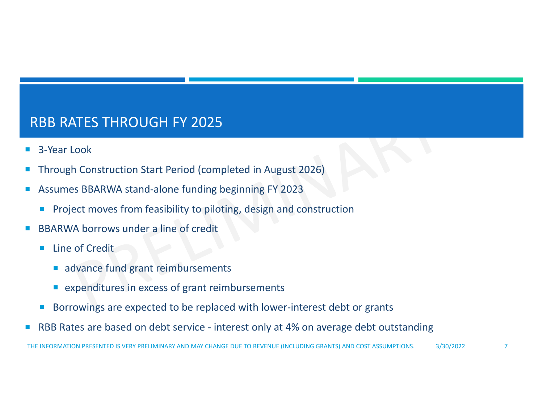# RBB RATES THROUGH FY 2025

- П 3‐Year Look
- Through Construction Start Period (completed in August 2026)
- ■ Assumes BBARWA stand-alone funding beginning FY 2023
	- $\overline{\phantom{a}}$ Project moves from feasibility to piloting, design and construction
- $\mathcal{L}_{\mathcal{A}}$ ■ BBARWA borrows under a line of credit
	- $\mathcal{L}_{\mathcal{A}}$  Line of Credit
		- advance fund grant reimbursements
		- **E** expenditures in excess of grant reimbursements
	- $\mathcal{C}^{\mathcal{A}}$ Borrowings are expected to be replaced with lower‐interest debt or grants
- Г RBB Rates are based on debt service ‐ interest only at 4% on average debt outstanding

THE INFORMATION PRESENTED IS VERY PRELIMINARY AND MAY CHANGE DUE TO REVENUE (INCLUDING GRANTS) AND COST ASSUMPTIONS. 3/30/2022 7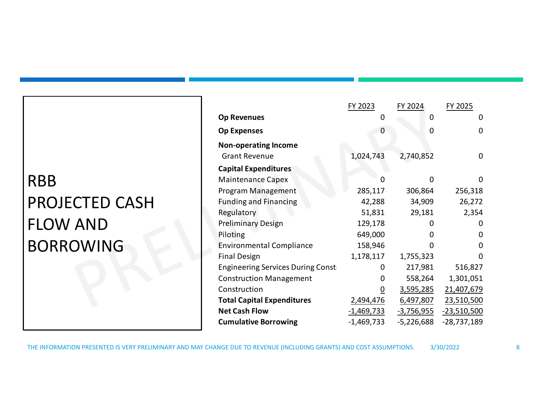# RBB PROJECTED CASH FLOW AND BORROWING

|                                   | FY 2023           | FY 2024           | FY 2025       |
|-----------------------------------|-------------------|-------------------|---------------|
| <b>Op Revenues</b>                | 0                 | 0                 | 0             |
| <b>Op Expenses</b>                | 0                 | 0                 | 0             |
| <b>Non-operating Income</b>       |                   |                   |               |
| <b>Grant Revenue</b>              | 1,024,743         | 2,740,852         | 0             |
| <b>Capital Expenditures</b>       |                   |                   |               |
| <b>Maintenance Capex</b>          |                   | ŋ                 | 0             |
| Program Management                | 285,117           | 306,864           | 256,318       |
| <b>Funding and Financing</b>      | 42,288            | 34,909            | 26,272        |
| Regulatory                        | 51,831            | 29,181            | 2,354         |
| <b>Preliminary Design</b>         | 129,178           | O                 | 0             |
| Piloting                          | 649,000           | 0                 | 0             |
| <b>Environmental Compliance</b>   | 158,946           | O                 | 0             |
| <b>Final Design</b>               | 1,178,117         | 1,755,323         | O             |
| Engineering Services During Const | 0                 | 217,981           | 516,827       |
| <b>Construction Management</b>    | 0                 | 558,264           | 1,301,051     |
| Construction                      | <u>0</u>          | <u>3,595,285</u>  | 21,407,679    |
| <b>Total Capital Expenditures</b> | 2,494,476         | 6,497,807         | 23,510,500    |
| <b>Net Cash Flow</b>              | <u>-1,469,733</u> | <u>-3,756,955</u> | $-23,510,500$ |
| <b>Cumulative Borrowing</b>       | $-1,469,733$      | $-5,226,688$      | $-28,737,189$ |

THE INFORMATION PRESENTED IS VERY PRELIMINARY AND MAY CHANGE DUE TO REVENUE (INCLUDING GRANTS) AND COST ASSUMPTIONS. 3/30/2022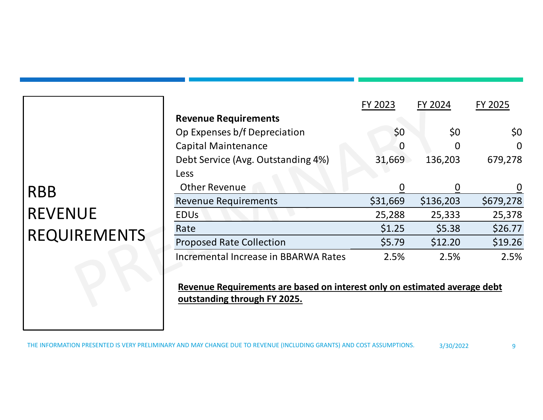|                     |                                                                                                           | FY 2023  | FY 2024   | FY 2025     |
|---------------------|-----------------------------------------------------------------------------------------------------------|----------|-----------|-------------|
|                     | <b>Revenue Requirements</b>                                                                               |          |           |             |
|                     | Op Expenses b/f Depreciation                                                                              | \$0      | \$0       | \$0         |
|                     | <b>Capital Maintenance</b>                                                                                | 0        |           | $\mathbf 0$ |
|                     | Debt Service (Avg. Outstanding 4%)                                                                        | 31,669   | 136,203   | 679,278     |
|                     | <b>Less</b>                                                                                               |          |           |             |
| <b>RBB</b>          | <b>Other Revenue</b>                                                                                      | 0        |           | $\mathbf 0$ |
|                     | <b>Revenue Requirements</b>                                                                               | \$31,669 | \$136,203 | \$679,278   |
| <b>REVENUE</b>      | <b>EDU<sub>s</sub></b>                                                                                    | 25,288   | 25,333    | 25,378      |
|                     | Rate                                                                                                      | \$1.25   | \$5.38    | \$26.77     |
| <b>REQUIREMENTS</b> | <b>Proposed Rate Collection</b>                                                                           | \$5.79   | \$12.20   | \$19.26     |
|                     | Incremental Increase in BBARWA Rates                                                                      | 2.5%     | 2.5%      | 2.5%        |
|                     | Revenue Requirements are based on interest only on estimated average debt<br>outstanding through FY 2025. |          |           |             |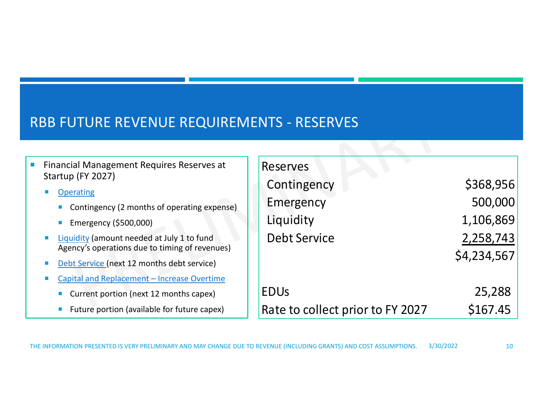## RBB FUTURE REVENUE REQUIREMENTS ‐ RESERVES

|  | Financial Management Requires Reserves at<br>Startup (FY 2027)<br><b>Operating</b>           |  | Reserves                         |             |  |  |  |  |  |
|--|----------------------------------------------------------------------------------------------|--|----------------------------------|-------------|--|--|--|--|--|
|  |                                                                                              |  | Contingency                      | \$368,956   |  |  |  |  |  |
|  | Contingency (2 months of operating expense)                                                  |  | Emergency                        | 500,000     |  |  |  |  |  |
|  | Emergency (\$500,000)                                                                        |  | Liquidity                        | 1,106,869   |  |  |  |  |  |
|  | Liquidity (amount needed at July 1 to fund<br>Agency's operations due to timing of revenues) |  | <b>Debt Service</b>              | 2,258,743   |  |  |  |  |  |
|  | Debt Service (next 12 months debt service)                                                   |  |                                  | \$4,234,567 |  |  |  |  |  |
|  | Capital and Replacement - Increase Overtime                                                  |  |                                  |             |  |  |  |  |  |
|  | Current portion (next 12 months capex)                                                       |  | <b>EDU<sub>S</sub></b>           | 25,288      |  |  |  |  |  |
|  | Future portion (available for future capex)                                                  |  | Rate to collect prior to FY 2027 | \$167.45    |  |  |  |  |  |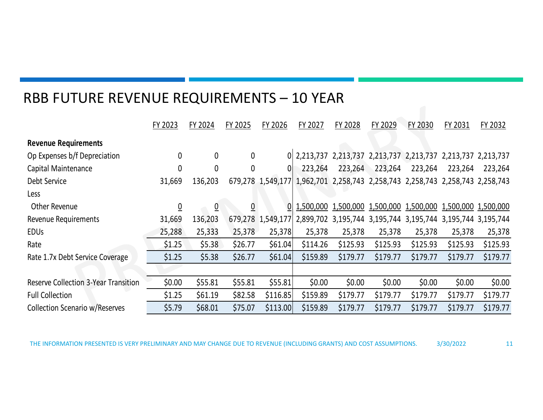#### RBB FUTURE REVENUE REQUIREMENTS – 10 YEAR

|                                             | FY 2023  | FY 2024        | FY 2025      | FY 2026           | FY 2027                                                                       | FY 2028                                                     | FY 2029  | FY 2030  | FY 2031             | FY 2032  |
|---------------------------------------------|----------|----------------|--------------|-------------------|-------------------------------------------------------------------------------|-------------------------------------------------------------|----------|----------|---------------------|----------|
| <b>Revenue Requirements</b>                 |          |                |              |                   |                                                                               |                                                             |          |          |                     |          |
| Op Expenses b/f Depreciation                | 0        | $\mathbf 0$    | $\mathbf 0$  |                   | 0 2,213,737 2,213,737 2,213,737 2,213,737 2,213,737 2,213,737                 |                                                             |          |          |                     |          |
| Capital Maintenance                         | 0        | 0              | $\mathbf{0}$ | 0                 | 223,264                                                                       | 223,264                                                     | 223,264  | 223,264  | 223,264             | 223,264  |
| Debt Service                                | 31,669   | 136,203        |              |                   | 679,278 1,549,177 1,962,701 2,258,743 2,258,743 2,258,743 2,258,743 2,258,743 |                                                             |          |          |                     |          |
| Less                                        |          |                |              |                   |                                                                               |                                                             |          |          |                     |          |
| Other Revenue                               | <u>0</u> | $\overline{0}$ | 0            | 01                |                                                                               | 1,500,000 1,500,000 1,500,000 1,500,000 1,500,000 1,500,000 |          |          |                     |          |
| Revenue Requirements                        | 31,669   | 136,203        |              | 679,278 1,549,177 |                                                                               | 2,899,702 3,195,744 3,195,744 3,195,744                     |          |          | 3,195,744 3,195,744 |          |
| <b>EDUS</b>                                 | 25,288   | 25,333         | 25,378       | 25,378            | 25,378                                                                        | 25,378                                                      | 25,378   | 25,378   | 25,378              | 25,378   |
| Rate                                        | \$1.25   | \$5.38         | \$26.77      | \$61.04           | \$114.26                                                                      | \$125.93                                                    | \$125.93 | \$125.93 | \$125.93            | \$125.93 |
| Rate 1.7x Debt Service Coverage             | \$1.25   | \$5.38         | \$26.77      | \$61.04           | \$159.89                                                                      | \$179.77                                                    | \$179.77 | \$179.77 | \$179.77            | \$179.77 |
|                                             |          |                |              |                   |                                                                               |                                                             |          |          |                     |          |
| <b>Reserve Collection 3-Year Transition</b> | \$0.00   | \$55.81        | \$55.81      | \$55.81           | \$0.00                                                                        | \$0.00                                                      | \$0.00   | \$0.00   | \$0.00              | \$0.00   |
| <b>Full Collection</b>                      | \$1.25   | \$61.19        | \$82.58      | \$116.85          | \$159.89                                                                      | \$179.77                                                    | \$179.77 | \$179.77 | \$179.77            | \$179.77 |
| <b>Collection Scenario w/Reserves</b>       | \$5.79   | \$68.01        | \$75.07      | \$113.00          | \$159.89                                                                      | \$179.77                                                    | \$179.77 | \$179.77 | \$179.77            | \$179.77 |

11THE INFORMATION PRESENTED IS VERY PRELIMINARY AND MAY CHANGE DUE TO REVENUE (INCLUDING GRANTS) AND COST ASSUMPTIONS. 3/30/2022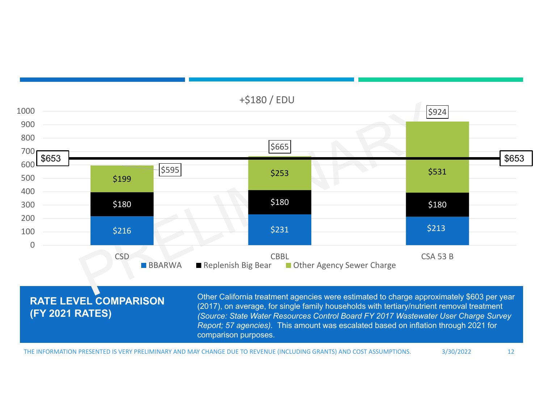

THE INFORMATION PRESENTED IS VERY PRELIMINARY AND MAY CHANGE DUE TO REVENUE (INCLUDING GRANTS) AND COST ASSUMPTIONS. 3/30/2022 12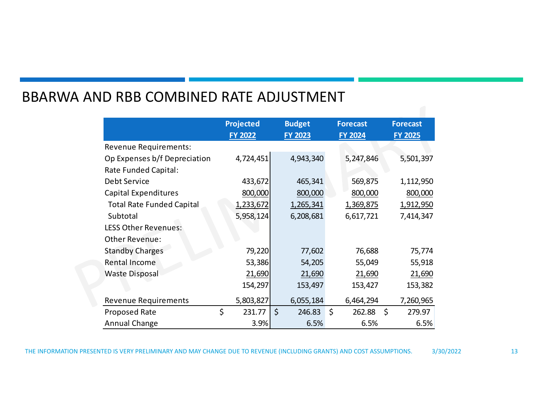### BBARWA AND RBB COMBINED RATE ADJUSTMENT

|                                  | <b>Projected</b><br><b>FY 2022</b> |         | <b>Budget</b><br><b>FY 2023</b> | <b>Forecast</b><br><b>FY 2024</b> |         | <b>Forecast</b><br><b>FY 2025</b> |
|----------------------------------|------------------------------------|---------|---------------------------------|-----------------------------------|---------|-----------------------------------|
| <b>Revenue Requirements:</b>     |                                    |         |                                 |                                   |         |                                   |
| Op Expenses b/f Depreciation     | 4,724,451                          |         | 4,943,340                       | 5,247,846                         |         | 5,501,397                         |
| Rate Funded Capital:             |                                    |         |                                 |                                   |         |                                   |
| Debt Service                     | 433,672                            |         | 465,341                         | 569,875                           |         | 1,112,950                         |
| <b>Capital Expenditures</b>      | 800,000                            |         | 800,000                         | 800,000                           |         | 800,000                           |
| <b>Total Rate Funded Capital</b> | 1,233,672                          |         | 1,265,341                       | 1,369,875                         |         | 1,912,950                         |
| Subtotal                         | 5,958,124                          |         | 6,208,681                       | 6,617,721                         |         | 7,414,347                         |
| <b>LESS Other Revenues:</b>      |                                    |         |                                 |                                   |         |                                   |
| Other Revenue:                   |                                    |         |                                 |                                   |         |                                   |
| <b>Standby Charges</b>           | 79,220                             |         | 77,602                          | 76,688                            |         | 75,774                            |
| <b>Rental Income</b>             | 53,386                             |         | 54,205                          | 55,049                            |         | 55,918                            |
| <b>Waste Disposal</b>            | 21,690                             |         | 21,690                          | 21,690                            |         | 21,690                            |
|                                  | 154,297                            |         | 153,497                         | 153,427                           |         | 153,382                           |
| <b>Revenue Requirements</b>      | 5,803,827                          |         | 6,055,184                       | 6,464,294                         |         | 7,260,965                         |
| Proposed Rate                    | \$<br>231.77                       | $\zeta$ | 246.83                          | \$<br>262.88                      | $\zeta$ | 279.97                            |
| Annual Change                    | 3.9%                               |         | 6.5%                            | 6.5%                              |         | 6.5%                              |

THE INFORMATION PRESENTED IS VERY PRELIMINARY AND MAY CHANGE DUE TO REVENUE (INCLUDING GRANTS) AND COST ASSUMPTIONS. 3/30/2022

13